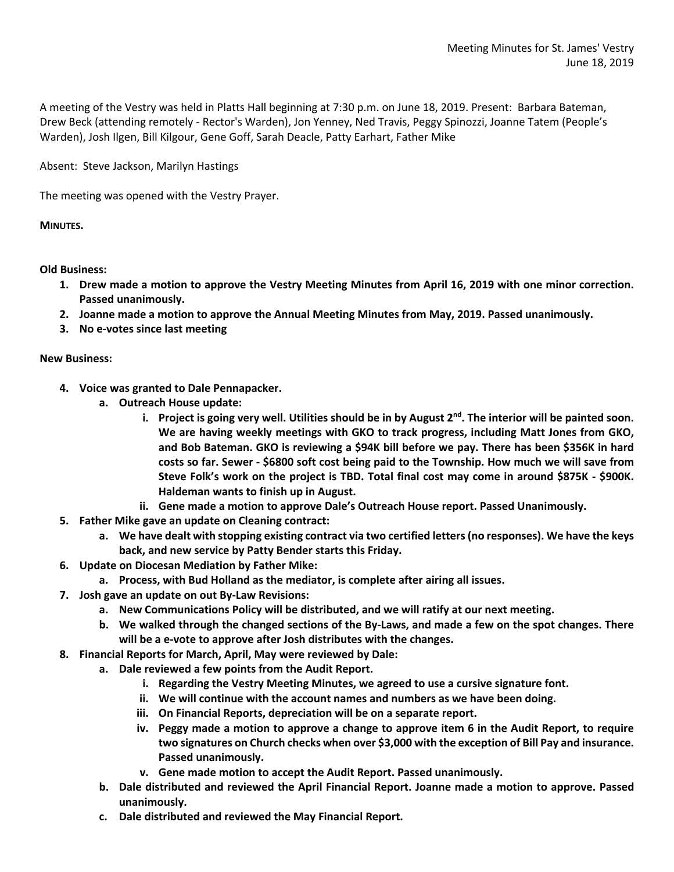A meeting of the Vestry was held in Platts Hall beginning at 7:30 p.m. on June 18, 2019. Present: Barbara Bateman, Drew Beck (attending remotely - Rector's Warden), Jon Yenney, Ned Travis, Peggy Spinozzi, Joanne Tatem (People's Warden), Josh Ilgen, Bill Kilgour, Gene Goff, Sarah Deacle, Patty Earhart, Father Mike

Absent: Steve Jackson, Marilyn Hastings

The meeting was opened with the Vestry Prayer.

**MINUTES.**

**Old Business:**

- **1. Drew made a motion to approve the Vestry Meeting Minutes from April 16, 2019 with one minor correction. Passed unanimously.**
- **2. Joanne made a motion to approve the Annual Meeting Minutes from May, 2019. Passed unanimously.**
- **3. No e-votes since last meeting**

## **New Business:**

- **4. Voice was granted to Dale Pennapacker.**
	- **a. Outreach House update:**
		- **i. Project is going very well. Utilities should be in by August 2nd. The interior will be painted soon. We are having weekly meetings with GKO to track progress, including Matt Jones from GKO, and Bob Bateman. GKO is reviewing a \$94K bill before we pay. There has been \$356K in hard costs so far. Sewer - \$6800 soft cost being paid to the Township. How much we will save from Steve Folk's work on the project is TBD. Total final cost may come in around \$875K - \$900K. Haldeman wants to finish up in August.**
	- **ii. Gene made a motion to approve Dale's Outreach House report. Passed Unanimously.**
- **5. Father Mike gave an update on Cleaning contract:**
	- **a. We have dealt with stopping existing contract via two certified letters (no responses). We have the keys back, and new service by Patty Bender starts this Friday.**
- **6. Update on Diocesan Mediation by Father Mike:**
	- **a. Process, with Bud Holland as the mediator, is complete after airing all issues.**
- **7. Josh gave an update on out By-Law Revisions:**
	- **a. New Communications Policy will be distributed, and we will ratify at our next meeting.**
	- **b. We walked through the changed sections of the By-Laws, and made a few on the spot changes. There will be a e-vote to approve after Josh distributes with the changes.**
- **8. Financial Reports for March, April, May were reviewed by Dale:**
	- **a. Dale reviewed a few points from the Audit Report.** 
		- **i. Regarding the Vestry Meeting Minutes, we agreed to use a cursive signature font.**
		- **ii. We will continue with the account names and numbers as we have been doing.**
		- **iii. On Financial Reports, depreciation will be on a separate report.**
		- **iv. Peggy made a motion to approve a change to approve item 6 in the Audit Report, to require two signatures on Church checks when over \$3,000 with the exception of Bill Pay and insurance. Passed unanimously.**
		- **v. Gene made motion to accept the Audit Report. Passed unanimously.**
	- **b. Dale distributed and reviewed the April Financial Report. Joanne made a motion to approve. Passed unanimously.**
	- **c. Dale distributed and reviewed the May Financial Report.**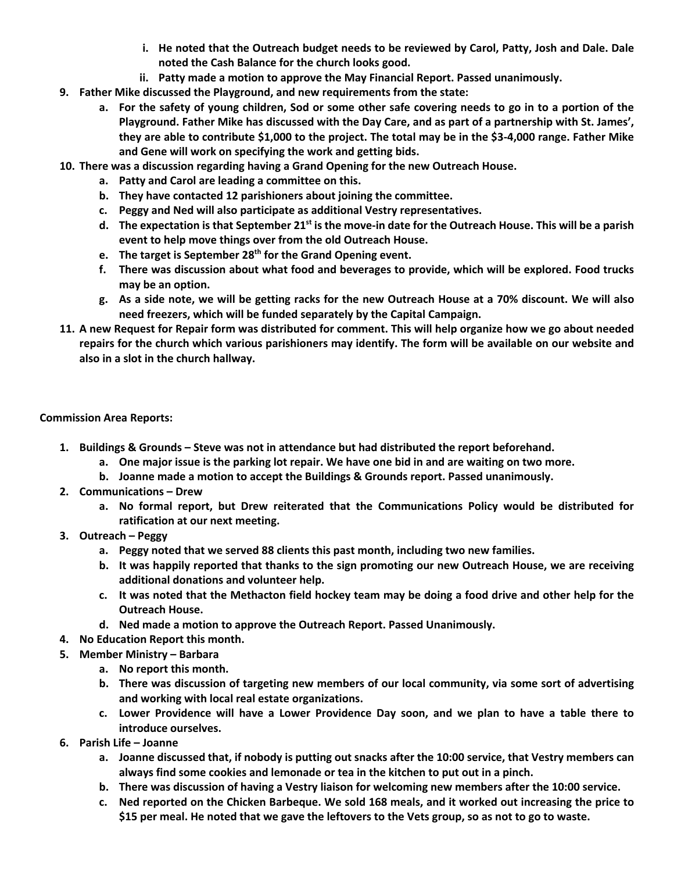- **i. He noted that the Outreach budget needs to be reviewed by Carol, Patty, Josh and Dale. Dale noted the Cash Balance for the church looks good.**
- **ii. Patty made a motion to approve the May Financial Report. Passed unanimously.**
- **9. Father Mike discussed the Playground, and new requirements from the state:**
	- **a. For the safety of young children, Sod or some other safe covering needs to go in to a portion of the Playground. Father Mike has discussed with the Day Care, and as part of a partnership with St. James', they are able to contribute \$1,000 to the project. The total may be in the \$3-4,000 range. Father Mike and Gene will work on specifying the work and getting bids.**
- **10. There was a discussion regarding having a Grand Opening for the new Outreach House.**
	- **a. Patty and Carol are leading a committee on this.**
	- **b. They have contacted 12 parishioners about joining the committee.**
	- **c. Peggy and Ned will also participate as additional Vestry representatives.**
	- **d. The expectation is that September 21st is the move-in date for the Outreach House. This will be a parish event to help move things over from the old Outreach House.**
	- **e. The target is September 28th for the Grand Opening event.**
	- **f. There was discussion about what food and beverages to provide, which will be explored. Food trucks may be an option.**
	- **g. As a side note, we will be getting racks for the new Outreach House at a 70% discount. We will also need freezers, which will be funded separately by the Capital Campaign.**
- **11. A new Request for Repair form was distributed for comment. This will help organize how we go about needed repairs for the church which various parishioners may identify. The form will be available on our website and also in a slot in the church hallway.**

## **Commission Area Reports:**

- **1. Buildings & Grounds – Steve was not in attendance but had distributed the report beforehand.**
	- **a. One major issue is the parking lot repair. We have one bid in and are waiting on two more.**
	- **b. Joanne made a motion to accept the Buildings & Grounds report. Passed unanimously.**
- **2. Communications – Drew**
	- **a. No formal report, but Drew reiterated that the Communications Policy would be distributed for ratification at our next meeting.**
- **3. Outreach – Peggy**
	- **a. Peggy noted that we served 88 clients this past month, including two new families.**
	- **b. It was happily reported that thanks to the sign promoting our new Outreach House, we are receiving additional donations and volunteer help.**
	- **c. It was noted that the Methacton field hockey team may be doing a food drive and other help for the Outreach House.**
	- **d. Ned made a motion to approve the Outreach Report. Passed Unanimously.**
- **4. No Education Report this month.**
- **5. Member Ministry – Barbara**
	- **a. No report this month.**
	- **b. There was discussion of targeting new members of our local community, via some sort of advertising and working with local real estate organizations.**
	- **c. Lower Providence will have a Lower Providence Day soon, and we plan to have a table there to introduce ourselves.**
- **6. Parish Life – Joanne**
	- **a. Joanne discussed that, if nobody is putting out snacks after the 10:00 service, that Vestry members can always find some cookies and lemonade or tea in the kitchen to put out in a pinch.**
	- **b. There was discussion of having a Vestry liaison for welcoming new members after the 10:00 service.**
	- **c. Ned reported on the Chicken Barbeque. We sold 168 meals, and it worked out increasing the price to \$15 per meal. He noted that we gave the leftovers to the Vets group, so as not to go to waste.**